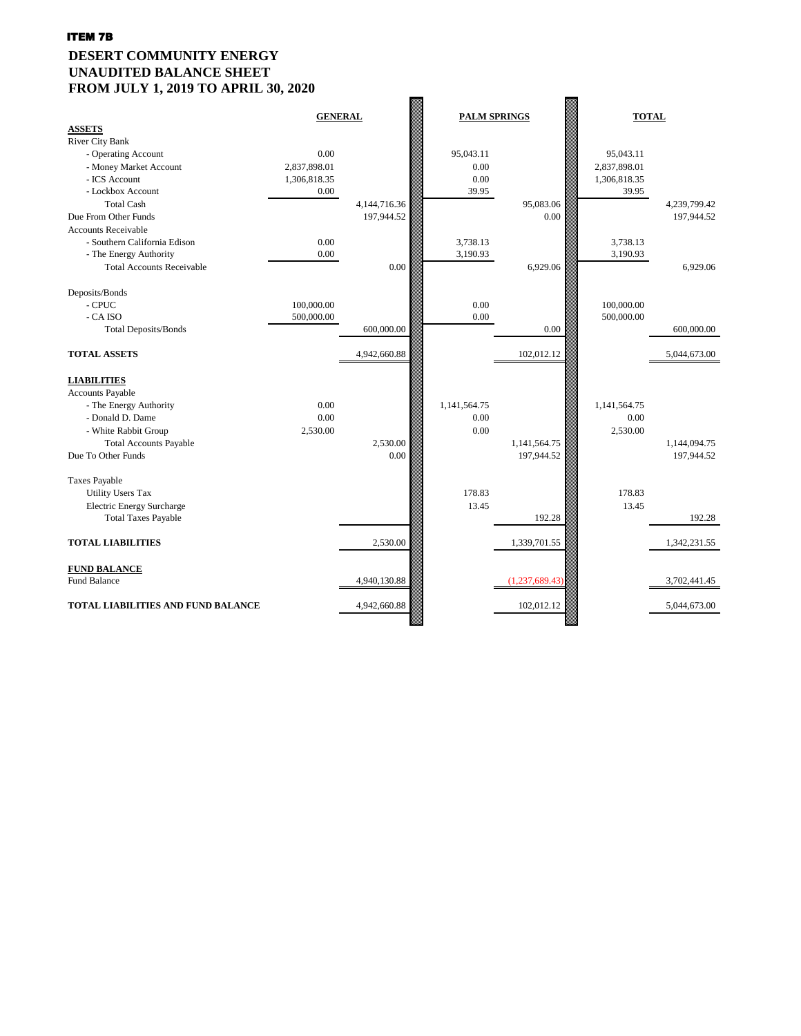# **DESERT COMMUNITY ENERGY UNAUDITED BALANCE SHEET FROM JULY 1, 2019 TO APRIL 30, 2020**

| <b>ASSETS</b>                             | <b>GENERAL</b> |                 |              | <b>PALM SPRINGS</b> | <b>TOTAL</b> |              |
|-------------------------------------------|----------------|-----------------|--------------|---------------------|--------------|--------------|
| <b>River City Bank</b>                    |                |                 |              |                     |              |              |
| - Operating Account                       | 0.00           |                 | 95,043.11    |                     | 95,043.11    |              |
| - Money Market Account                    | 2,837,898.01   |                 | 0.00         |                     | 2,837,898.01 |              |
| - ICS Account                             | 1,306,818.35   |                 | 0.00         |                     | 1,306,818.35 |              |
| - Lockbox Account                         | 0.00           |                 | 39.95        |                     | 39.95        |              |
| <b>Total Cash</b>                         |                | 4, 144, 716. 36 |              | 95,083.06           |              | 4,239,799.42 |
| Due From Other Funds                      |                | 197,944.52      |              | 0.00                |              | 197,944.52   |
| <b>Accounts Receivable</b>                |                |                 |              |                     |              |              |
| - Southern California Edison              | 0.00           |                 | 3,738.13     |                     | 3,738.13     |              |
| - The Energy Authority                    | 0.00           |                 | 3,190.93     |                     | 3,190.93     |              |
| <b>Total Accounts Receivable</b>          |                | 0.00            |              | 6,929.06            |              | 6,929.06     |
| Deposits/Bonds                            |                |                 |              |                     |              |              |
| - CPUC                                    | 100,000.00     |                 | 0.00         |                     | 100,000.00   |              |
| - CA ISO                                  | 500,000.00     |                 | 0.00         |                     | 500,000.00   |              |
| <b>Total Deposits/Bonds</b>               |                | 600,000.00      |              | 0.00                |              | 600,000.00   |
| <b>TOTAL ASSETS</b>                       |                | 4,942,660.88    |              | 102,012.12          |              | 5,044,673.00 |
| <b>LIABILITIES</b>                        |                |                 |              |                     |              |              |
| <b>Accounts Payable</b>                   |                |                 |              |                     |              |              |
| - The Energy Authority                    | 0.00           |                 | 1,141,564.75 |                     | 1,141,564.75 |              |
| - Donald D. Dame                          | 0.00           |                 | 0.00         |                     | 0.00         |              |
| - White Rabbit Group                      | 2,530.00       |                 | 0.00         |                     | 2,530.00     |              |
| <b>Total Accounts Payable</b>             |                | 2,530.00        |              | 1,141,564.75        |              | 1,144,094.75 |
| Due To Other Funds                        |                | 0.00            |              | 197,944.52          |              | 197,944.52   |
| <b>Taxes Payable</b>                      |                |                 |              |                     |              |              |
| <b>Utility Users Tax</b>                  |                |                 | 178.83       |                     | 178.83       |              |
| <b>Electric Energy Surcharge</b>          |                |                 | 13.45        |                     | 13.45        |              |
| <b>Total Taxes Payable</b>                |                |                 |              | 192.28              |              | 192.28       |
| <b>TOTAL LIABILITIES</b>                  |                | 2,530.00        |              | 1,339,701.55        |              | 1,342,231.55 |
| <b>FUND BALANCE</b>                       |                |                 |              |                     |              |              |
| <b>Fund Balance</b>                       |                | 4,940,130.88    |              | (1,237,689.43)      |              | 3,702,441.45 |
| <b>TOTAL LIABILITIES AND FUND BALANCE</b> |                | 4,942,660.88    |              | 102,012.12          |              | 5,044,673.00 |
|                                           |                |                 |              |                     |              |              |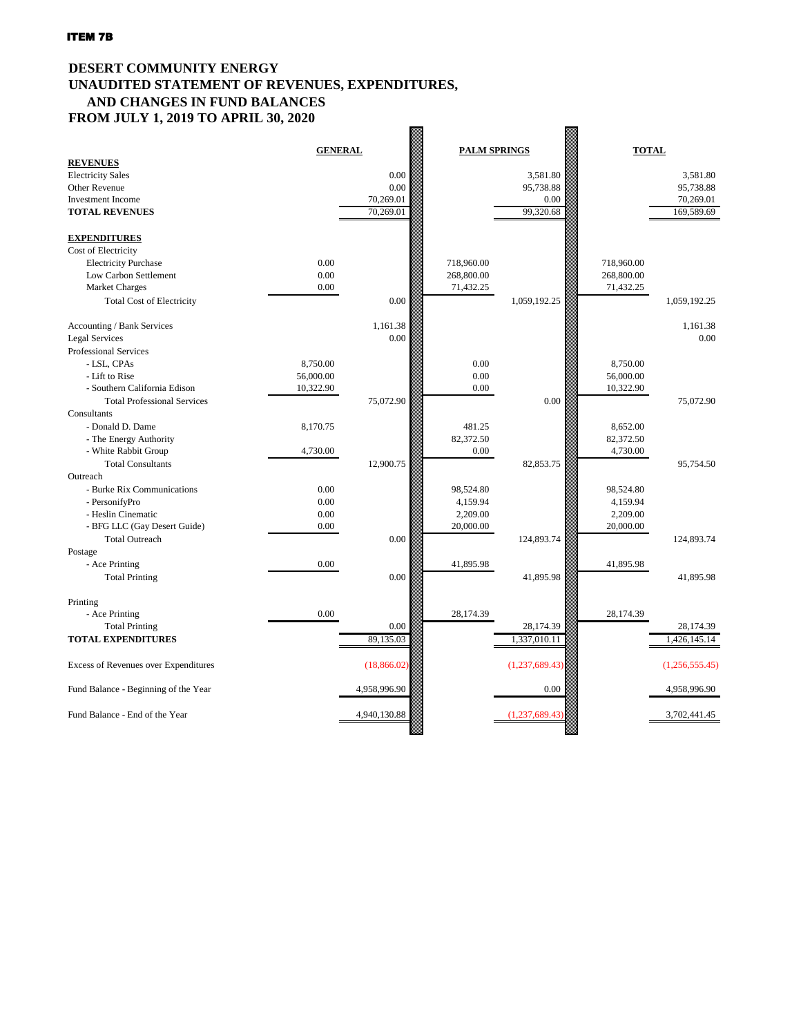# **DESERT COMMUNITY ENERGY UNAUDITED STATEMENT OF REVENUES, EXPENDITURES, AND CHANGES IN FUND BALANCES FROM JULY 1, 2019 TO APRIL 30, 2020**

|                                             | <b>GENERAL</b> |              | <b>PALM SPRINGS</b> |                | <b>TOTAL</b> |                |
|---------------------------------------------|----------------|--------------|---------------------|----------------|--------------|----------------|
| <b>REVENUES</b>                             |                |              |                     |                |              |                |
| <b>Electricity Sales</b>                    |                | 0.00         |                     | 3,581.80       |              | 3,581.80       |
| <b>Other Revenue</b>                        |                | 0.00         |                     | 95,738.88      |              | 95,738.88      |
| Investment Income                           |                | 70,269.01    |                     | 0.00           |              | 70,269.01      |
| <b>TOTAL REVENUES</b>                       |                | 70,269.01    |                     | 99,320.68      |              | 169,589.69     |
|                                             |                |              |                     |                |              |                |
| <b>EXPENDITURES</b>                         |                |              |                     |                |              |                |
| Cost of Electricity                         |                |              |                     |                |              |                |
| <b>Electricity Purchase</b>                 | 0.00           |              | 718,960.00          |                | 718,960.00   |                |
| Low Carbon Settlement                       | 0.00           |              | 268,800.00          |                | 268,800.00   |                |
| <b>Market Charges</b>                       | 0.00           |              | 71,432.25           |                | 71,432.25    |                |
| <b>Total Cost of Electricity</b>            |                | 0.00         |                     | 1,059,192.25   |              | 1,059,192.25   |
|                                             |                |              |                     |                |              |                |
| Accounting / Bank Services                  |                | 1,161.38     |                     |                |              | 1,161.38       |
| <b>Legal Services</b>                       |                | 0.00         |                     |                |              | 0.00           |
| Professional Services                       |                |              |                     |                |              |                |
| - LSL, CPAs                                 | 8,750.00       |              | 0.00                |                | 8,750.00     |                |
| - Lift to Rise                              | 56,000.00      |              | 0.00                |                | 56,000.00    |                |
| - Southern California Edison                | 10,322.90      |              | 0.00                |                | 10,322.90    |                |
| <b>Total Professional Services</b>          |                | 75,072.90    |                     | 0.00           |              | 75,072.90      |
| Consultants                                 |                |              |                     |                |              |                |
| - Donald D. Dame                            | 8,170.75       |              | 481.25              |                | 8,652.00     |                |
| - The Energy Authority                      |                |              | 82,372.50           |                | 82,372.50    |                |
| - White Rabbit Group                        | 4,730.00       |              | 0.00                |                | 4,730.00     |                |
| <b>Total Consultants</b>                    |                | 12,900.75    |                     | 82,853.75      |              | 95,754.50      |
| Outreach                                    |                |              |                     |                |              |                |
| - Burke Rix Communications                  | 0.00           |              | 98,524.80           |                | 98,524.80    |                |
| - PersonifyPro                              | 0.00           |              | 4,159.94            |                | 4,159.94     |                |
| - Heslin Cinematic                          | 0.00           |              | 2,209.00            |                | 2,209.00     |                |
| - BFG LLC (Gay Desert Guide)                | 0.00           |              | 20,000.00           |                | 20,000.00    |                |
| <b>Total Outreach</b>                       |                | 0.00         |                     | 124,893.74     |              | 124,893.74     |
| Postage                                     |                |              |                     |                |              |                |
| - Ace Printing                              | 0.00           |              | 41,895.98           |                | 41,895.98    |                |
| <b>Total Printing</b>                       |                | 0.00         |                     | 41,895.98      |              | 41,895.98      |
|                                             |                |              |                     |                |              |                |
| Printing                                    |                |              |                     |                |              |                |
| - Ace Printing                              | 0.00           |              | 28,174.39           |                | 28,174.39    |                |
| <b>Total Printing</b>                       |                | 0.00         |                     | 28,174.39      |              | 28,174.39      |
| <b>TOTAL EXPENDITURES</b>                   |                | 89,135.03    |                     | 1,337,010.11   |              | 1,426,145.14   |
|                                             |                |              |                     |                |              |                |
|                                             |                |              |                     | (1,237,689.43) |              |                |
| <b>Excess of Revenues over Expenditures</b> |                | (18, 866.02) |                     |                |              | (1,256,555.45) |
|                                             |                |              |                     | 0.00           |              |                |
| Fund Balance - Beginning of the Year        |                | 4,958,996.90 |                     |                |              | 4,958,996.90   |
|                                             |                |              |                     |                |              |                |
| Fund Balance - End of the Year              |                | 4,940,130.88 |                     | (1,237,689.43) |              | 3,702,441.45   |
|                                             |                |              |                     |                |              |                |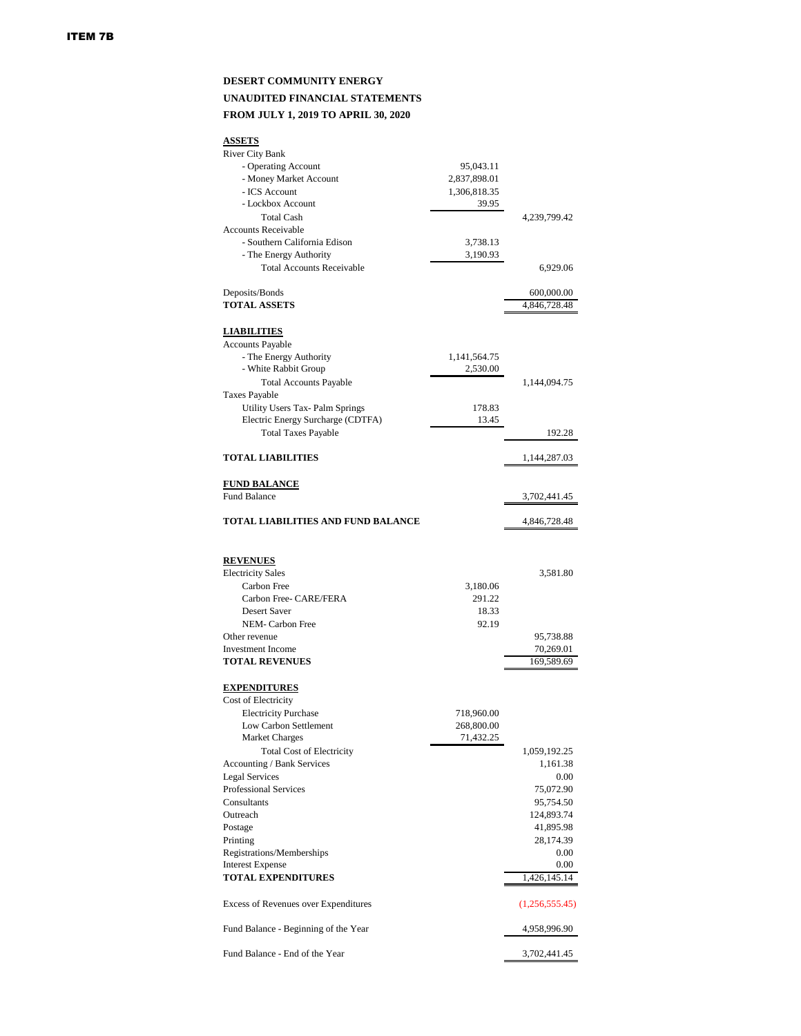#### **DESERT COMMUNITY ENERGY UNAUDITED FINANCIAL STATEMENTS FROM JULY 1, 2019 TO APRIL 30, 2020**

| <b>ASSETS</b>                               |                      |                |
|---------------------------------------------|----------------------|----------------|
| <b>River City Bank</b>                      |                      |                |
| - Operating Account                         | 95,043.11            |                |
| - Money Market Account                      | 2,837,898.01         |                |
| - ICS Account                               | 1,306,818.35         |                |
| - Lockbox Account                           | 39.95                |                |
| <b>Total Cash</b>                           |                      | 4,239,799.42   |
| <b>Accounts Receivable</b>                  |                      |                |
| - Southern California Edison                |                      |                |
|                                             | 3,738.13<br>3,190.93 |                |
| - The Energy Authority                      |                      |                |
| <b>Total Accounts Receivable</b>            |                      | 6,929.06       |
| Deposits/Bonds                              |                      | 600,000.00     |
| <b>TOTAL ASSETS</b>                         |                      | 4,846,728.48   |
|                                             |                      |                |
| <b>LIABILITIES</b>                          |                      |                |
| <b>Accounts Payable</b>                     |                      |                |
| - The Energy Authority                      | 1,141,564.75         |                |
| - White Rabbit Group                        | 2,530.00             |                |
| <b>Total Accounts Payable</b>               |                      | 1,144,094.75   |
| <b>Taxes Payable</b>                        |                      |                |
| <b>Utility Users Tax-Palm Springs</b>       | 178.83               |                |
| Electric Energy Surcharge (CDTFA)           | 13.45                |                |
| <b>Total Taxes Payable</b>                  |                      | 192.28         |
| <b>TOTAL LIABILITIES</b>                    |                      | 1,144,287.03   |
|                                             |                      |                |
| <b>FUND BALANCE</b>                         |                      |                |
| <b>Fund Balance</b>                         |                      | 3,702,441.45   |
| TOTAL LIABILITIES AND FUND BALANCE          |                      | 4,846,728.48   |
|                                             |                      |                |
| <b>REVENUES</b>                             |                      |                |
| <b>Electricity Sales</b>                    |                      | 3,581.80       |
| <b>Carbon Free</b>                          | 3,180.06             |                |
| Carbon Free- CARE/FERA                      | 291.22               |                |
| <b>Desert Saver</b>                         | 18.33                |                |
| <b>NEM-Carbon Free</b>                      | 92.19                |                |
| Other revenue                               |                      | 95,738.88      |
| <b>Investment Income</b>                    |                      | 70,269.01      |
| <b>TOTAL REVENUES</b>                       |                      | 169,589.69     |
|                                             |                      |                |
| <b>EXPENDITURES</b><br>Cost of Electricity  |                      |                |
|                                             |                      |                |
| <b>Electricity Purchase</b>                 | 718,960.00           |                |
| Low Carbon Settlement                       | 268,800.00           |                |
| <b>Market Charges</b>                       | 71,432.25            |                |
| <b>Total Cost of Electricity</b>            |                      | 1,059,192.25   |
| Accounting / Bank Services                  |                      | 1,161.38       |
| <b>Legal Services</b>                       |                      | 0.00           |
| <b>Professional Services</b>                |                      | 75,072.90      |
| Consultants                                 |                      | 95,754.50      |
| Outreach                                    |                      | 124,893.74     |
| Postage                                     |                      | 41,895.98      |
| Printing                                    |                      | 28,174.39      |
| Registrations/Memberships                   |                      | 0.00           |
| <b>Interest Expense</b>                     |                      | 0.00           |
| <b>TOTAL EXPENDITURES</b>                   |                      | 1,426,145.14   |
|                                             |                      |                |
| <b>Excess of Revenues over Expenditures</b> |                      | (1,256,555.45) |
| Fund Balance - Beginning of the Year        |                      | 4,958,996.90   |
| Fund Balance - End of the Year              |                      | 3,702,441.45   |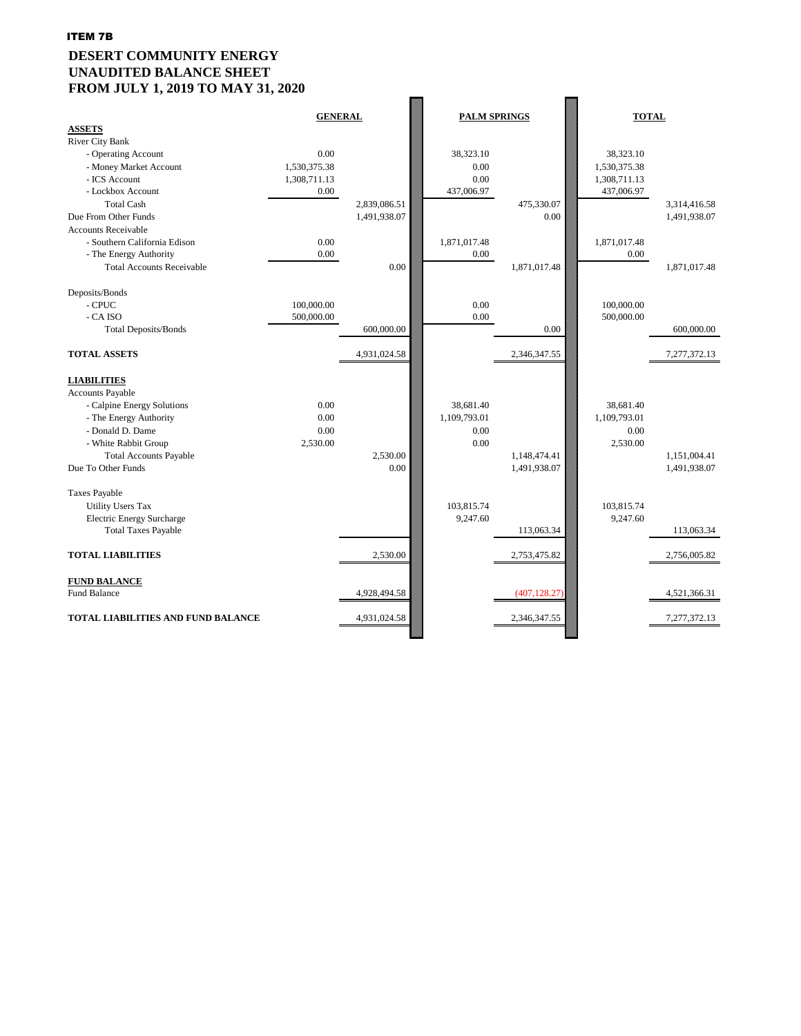# **DESERT COMMUNITY ENERGY UNAUDITED BALANCE SHEET FROM JULY 1, 2019 TO MAY 31, 2020**

| <b>ASSETS</b>                             | <b>GENERAL</b> |              | <b>PALM SPRINGS</b> |               | <b>TOTAL</b> |              |
|-------------------------------------------|----------------|--------------|---------------------|---------------|--------------|--------------|
| <b>River City Bank</b>                    |                |              |                     |               |              |              |
| - Operating Account                       | 0.00           |              | 38,323.10           |               | 38,323.10    |              |
| - Money Market Account                    | 1,530,375.38   |              | 0.00                |               | 1,530,375.38 |              |
| - ICS Account                             | 1,308,711.13   |              | 0.00                |               | 1,308,711.13 |              |
| - Lockbox Account                         | 0.00           |              | 437,006.97          |               | 437,006.97   |              |
| <b>Total Cash</b>                         |                | 2,839,086.51 |                     | 475,330.07    |              | 3,314,416.58 |
| Due From Other Funds                      |                | 1,491,938.07 |                     | 0.00          |              | 1,491,938.07 |
| <b>Accounts Receivable</b>                |                |              |                     |               |              |              |
| - Southern California Edison              | 0.00           |              | 1,871,017.48        |               | 1,871,017.48 |              |
| - The Energy Authority                    | 0.00           |              | 0.00                |               | 0.00         |              |
| <b>Total Accounts Receivable</b>          |                | 0.00         |                     | 1,871,017.48  |              | 1,871,017.48 |
| Deposits/Bonds                            |                |              |                     |               |              |              |
| $-CPUC$                                   | 100,000.00     |              | 0.00                |               | 100,000.00   |              |
| - CA ISO                                  | 500,000.00     |              | 0.00                |               | 500,000.00   |              |
| <b>Total Deposits/Bonds</b>               |                | 600,000.00   |                     | 0.00          |              | 600,000.00   |
| <b>TOTAL ASSETS</b>                       |                | 4,931,024.58 |                     | 2,346,347.55  |              | 7,277,372.13 |
| <b>LIABILITIES</b>                        |                |              |                     |               |              |              |
| <b>Accounts Payable</b>                   |                |              |                     |               |              |              |
| - Calpine Energy Solutions                | 0.00           |              | 38,681.40           |               | 38,681.40    |              |
| - The Energy Authority                    | 0.00           |              | 1,109,793.01        |               | 1,109,793.01 |              |
| - Donald D. Dame                          | 0.00           |              | 0.00                |               | 0.00         |              |
| - White Rabbit Group                      | 2,530.00       |              | 0.00                |               | 2,530.00     |              |
| <b>Total Accounts Payable</b>             |                | 2,530.00     |                     | 1,148,474.41  |              | 1,151,004.41 |
| Due To Other Funds                        |                | 0.00         |                     | 1,491,938.07  |              | 1,491,938.07 |
| <b>Taxes Payable</b>                      |                |              |                     |               |              |              |
| <b>Utility Users Tax</b>                  |                |              | 103,815.74          |               | 103,815.74   |              |
| <b>Electric Energy Surcharge</b>          |                |              | 9,247.60            |               | 9,247.60     |              |
| <b>Total Taxes Payable</b>                |                |              |                     | 113,063.34    |              | 113,063.34   |
| <b>TOTAL LIABILITIES</b>                  |                | 2,530.00     |                     | 2,753,475.82  |              | 2,756,005.82 |
| <b>FUND BALANCE</b>                       |                |              |                     |               |              |              |
| <b>Fund Balance</b>                       |                | 4,928,494.58 |                     | (407, 128.27) |              | 4,521,366.31 |
| <b>TOTAL LIABILITIES AND FUND BALANCE</b> |                | 4,931,024.58 |                     | 2,346,347.55  |              | 7,277,372.13 |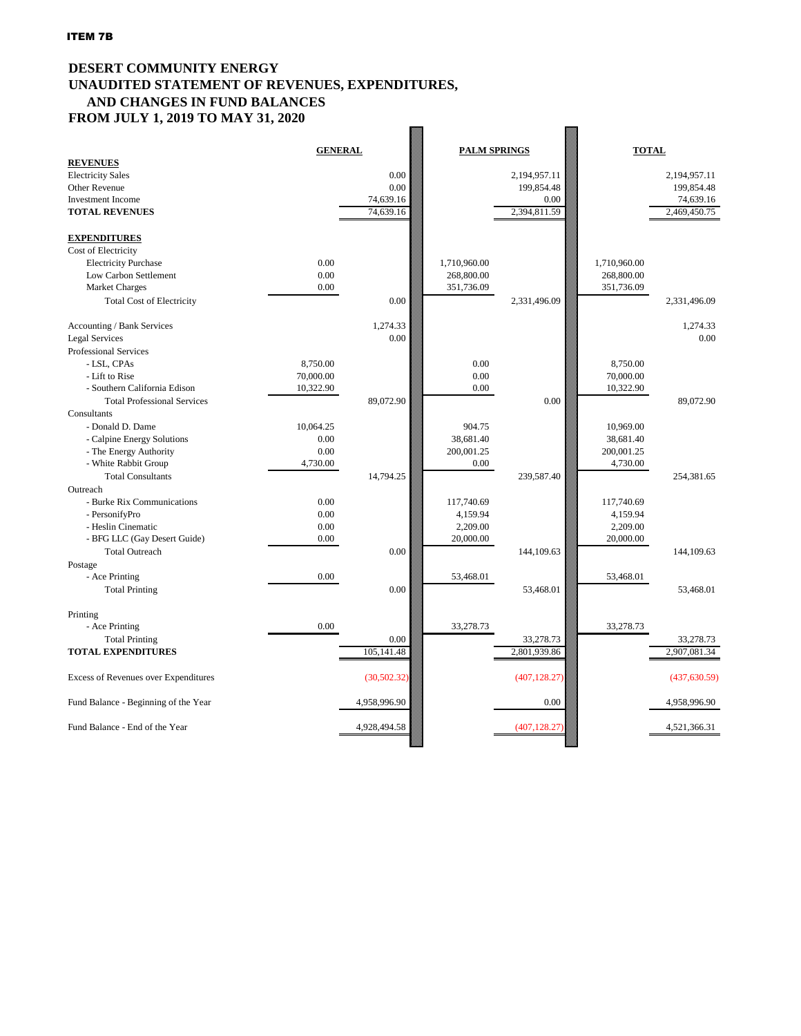#### **DESERT COMMUNITY ENERGY UNAUDITED STATEMENT OF REVENUES, EXPENDITURES, AND CHANGES IN FUND BALANCES FROM JULY 1, 2019 TO MAY 31, 2020 Research**

| <b>REVENUES</b>                             | <b>GENERAL</b> |              | <b>PALM SPRINGS</b> |               | <b>TOTAL</b> |               |
|---------------------------------------------|----------------|--------------|---------------------|---------------|--------------|---------------|
| <b>Electricity Sales</b>                    |                | 0.00         |                     | 2,194,957.11  |              | 2,194,957.11  |
| <b>Other Revenue</b>                        |                | 0.00         |                     | 199,854.48    |              | 199,854.48    |
| <b>Investment Income</b>                    |                | 74,639.16    |                     | 0.00          |              | 74,639.16     |
| <b>TOTAL REVENUES</b>                       |                | 74,639.16    |                     | 2,394,811.59  |              | 2,469,450.75  |
|                                             |                |              |                     |               |              |               |
| <b>EXPENDITURES</b>                         |                |              |                     |               |              |               |
| Cost of Electricity                         |                |              |                     |               |              |               |
| <b>Electricity Purchase</b>                 | 0.00           |              | 1,710,960.00        |               | 1,710,960.00 |               |
| Low Carbon Settlement                       | 0.00           |              | 268,800.00          |               | 268,800.00   |               |
| <b>Market Charges</b>                       | 0.00           |              | 351,736.09          |               | 351,736.09   |               |
| <b>Total Cost of Electricity</b>            |                | 0.00         |                     | 2,331,496.09  |              | 2,331,496.09  |
|                                             |                |              |                     |               |              |               |
| Accounting / Bank Services                  |                | 1,274.33     |                     |               |              | 1,274.33      |
| <b>Legal Services</b>                       |                | 0.00         |                     |               |              | 0.00          |
| Professional Services                       |                |              |                     |               |              |               |
| - LSL, CPAs                                 | 8,750.00       |              | 0.00                |               | 8,750.00     |               |
| - Lift to Rise                              | 70,000.00      |              | 0.00                |               | 70,000.00    |               |
| - Southern California Edison                | 10,322.90      |              | 0.00                |               | 10,322.90    |               |
| <b>Total Professional Services</b>          |                | 89,072.90    |                     | 0.00          |              | 89,072.90     |
| Consultants                                 |                |              |                     |               |              |               |
| - Donald D. Dame                            | 10,064.25      |              | 904.75              |               | 10,969.00    |               |
| - Calpine Energy Solutions                  | 0.00           |              | 38,681.40           |               | 38,681.40    |               |
| - The Energy Authority                      | 0.00           |              | 200,001.25          |               | 200,001.25   |               |
| - White Rabbit Group                        | 4,730.00       |              | $0.00\,$            |               | 4,730.00     |               |
| <b>Total Consultants</b>                    |                | 14,794.25    |                     | 239,587.40    |              | 254,381.65    |
| Outreach                                    |                |              |                     |               |              |               |
| - Burke Rix Communications                  | 0.00           |              | 117,740.69          |               | 117,740.69   |               |
| - PersonifyPro                              | 0.00           |              | 4,159.94            |               | 4,159.94     |               |
| - Heslin Cinematic                          | 0.00           |              | 2,209.00            |               | 2,209.00     |               |
| - BFG LLC (Gay Desert Guide)                | 0.00           |              | 20,000.00           |               | 20,000.00    |               |
| <b>Total Outreach</b>                       |                | 0.00         |                     | 144,109.63    |              | 144,109.63    |
| Postage                                     | 0.00           |              |                     |               |              |               |
| - Ace Printing                              |                |              | 53,468.01           |               | 53,468.01    |               |
| <b>Total Printing</b>                       |                | $0.00\,$     |                     | 53,468.01     |              | 53,468.01     |
| Printing                                    |                |              |                     |               |              |               |
| - Ace Printing                              | 0.00           |              | 33,278.73           |               | 33,278.73    |               |
| <b>Total Printing</b>                       |                | 0.00         |                     | 33,278.73     |              | 33,278.73     |
| <b>TOTAL EXPENDITURES</b>                   |                | 105,141.48   |                     | 2,801,939.86  |              | 2,907,081.34  |
|                                             |                |              |                     |               |              |               |
| <b>Excess of Revenues over Expenditures</b> |                | (30,502.32)  |                     | (407, 128.27) |              | (437, 630.59) |
|                                             |                |              |                     |               |              |               |
| Fund Balance - Beginning of the Year        |                | 4,958,996.90 |                     | 0.00          |              | 4,958,996.90  |
|                                             |                |              |                     |               |              |               |
| Fund Balance - End of the Year              |                | 4,928,494.58 |                     | (407, 128.27) |              | 4,521,366.31  |
|                                             |                |              |                     |               |              |               |